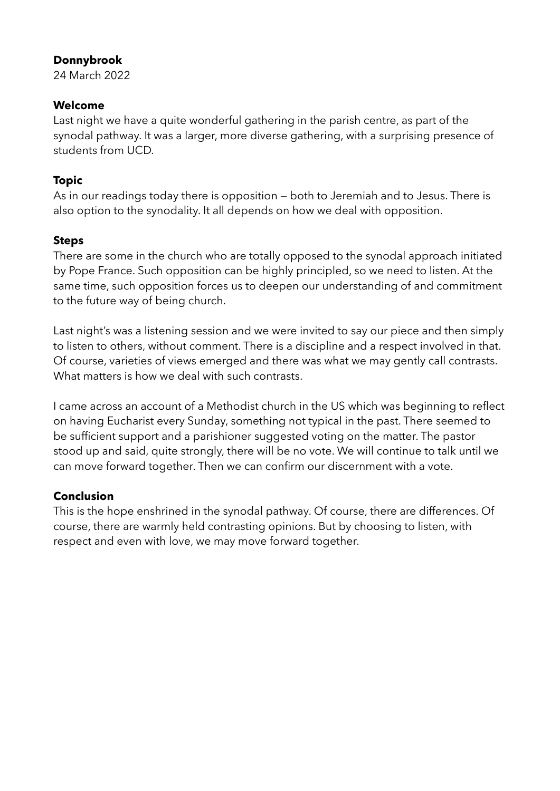### **Donnybrook**

24 March 2022

# **Welcome**

Last night we have a quite wonderful gathering in the parish centre, as part of the synodal pathway. It was a larger, more diverse gathering, with a surprising presence of students from UCD.

# **Topic**

As in our readings today there is opposition — both to Jeremiah and to Jesus. There is also option to the synodality. It all depends on how we deal with opposition.

# **Steps**

There are some in the church who are totally opposed to the synodal approach initiated by Pope France. Such opposition can be highly principled, so we need to listen. At the same time, such opposition forces us to deepen our understanding of and commitment to the future way of being church.

Last night's was a listening session and we were invited to say our piece and then simply to listen to others, without comment. There is a discipline and a respect involved in that. Of course, varieties of views emerged and there was what we may gently call contrasts. What matters is how we deal with such contrasts.

I came across an account of a Methodist church in the US which was beginning to reflect on having Eucharist every Sunday, something not typical in the past. There seemed to be sufficient support and a parishioner suggested voting on the matter. The pastor stood up and said, quite strongly, there will be no vote. We will continue to talk until we can move forward together. Then we can confirm our discernment with a vote.

# **Conclusion**

This is the hope enshrined in the synodal pathway. Of course, there are differences. Of course, there are warmly held contrasting opinions. But by choosing to listen, with respect and even with love, we may move forward together.